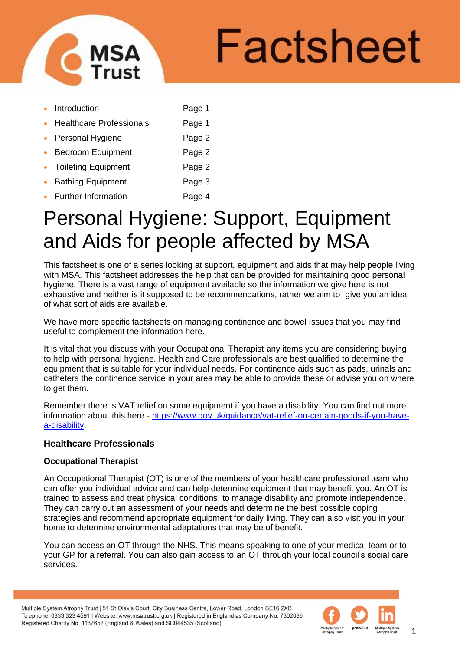

# Factsheet

- Introduction **Page 1**
- **Healthcare Professionals** Page 1
- Personal Hygiene **Page 2**
- Bedroom Equipment Page 2
- **Toileting Equipment Contract Page 2**
- **Bathing Equipment** Page 3
- **Further Information** Page 4

# Personal Hygiene: Support, Equipment and Aids for people affected by MSA

This factsheet is one of a series looking at support, equipment and aids that may help people living with MSA. This factsheet addresses the help that can be provided for maintaining good personal hygiene. There is a vast range of equipment available so the information we give here is not exhaustive and neither is it supposed to be recommendations, rather we aim to give you an idea of what sort of aids are available.

We have more specific factsheets on managing continence and bowel issues that you may find useful to complement the information here.

It is vital that you discuss with your Occupational Therapist any items you are considering buying to help with personal hygiene. Health and Care professionals are best qualified to determine the equipment that is suitable for your individual needs. For continence aids such as pads, urinals and catheters the continence service in your area may be able to provide these or advise you on where to get them.

Remember there is VAT relief on some equipment if you have a disability. You can find out more information about this here - [https://www.gov.uk/guidance/vat-relief-on-certain-goods-if-you-have](https://www.gov.uk/guidance/vat-relief-on-certain-goods-if-you-have-a-disability)[a-disability.](https://www.gov.uk/guidance/vat-relief-on-certain-goods-if-you-have-a-disability)

# **Healthcare Professionals**

# **Occupational Therapist**

An Occupational Therapist (OT) is one of the members of your healthcare professional team who can offer you individual advice and can help determine equipment that may benefit you. An OT is trained to assess and treat physical conditions, to manage disability and promote independence. They can carry out an assessment of your needs and determine the best possible coping strategies and recommend appropriate equipment for daily living. They can also visit you in your home to determine environmental adaptations that may be of benefit.

You can access an OT through the NHS. This means speaking to one of your medical team or to your GP for a referral. You can also gain access to an OT through your local council's social care services.



1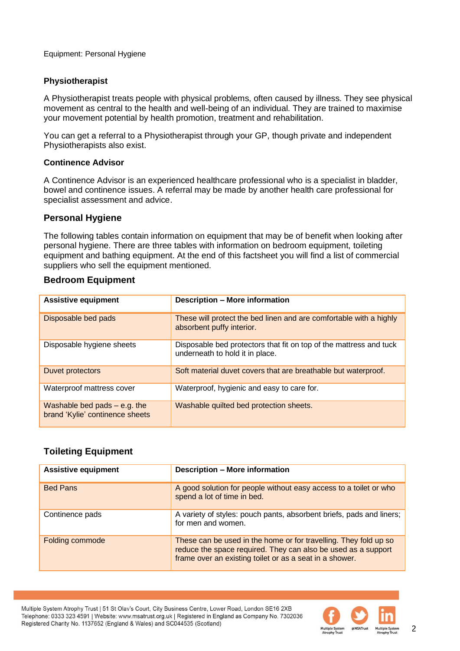Equipment: Personal Hygiene

# **Physiotherapist**

A Physiotherapist treats people with physical problems, often caused by illness. They see physical movement as central to the health and well-being of an individual. They are trained to maximise your movement potential by health promotion, treatment and rehabilitation.

You can get a referral to a Physiotherapist through your GP, though private and independent Physiotherapists also exist.

# **Continence Advisor**

A Continence Advisor is an experienced healthcare professional who is a specialist in bladder, bowel and continence issues. A referral may be made by another health care professional for specialist assessment and advice.

# **Personal Hygiene**

The following tables contain information on equipment that may be of benefit when looking after personal hygiene. There are three tables with information on bedroom equipment, toileting equipment and bathing equipment. At the end of this factsheet you will find a list of commercial suppliers who sell the equipment mentioned.

# **Bedroom Equipment**

| <b>Assistive equipment</b>                                        | <b>Description - More information</b>                                                                 |  |
|-------------------------------------------------------------------|-------------------------------------------------------------------------------------------------------|--|
| Disposable bed pads                                               | These will protect the bed linen and are comfortable with a highly<br>absorbent puffy interior.       |  |
| Disposable hygiene sheets                                         | Disposable bed protectors that fit on top of the mattress and tuck<br>underneath to hold it in place. |  |
| Duvet protectors                                                  | Soft material duvet covers that are breathable but waterproof.                                        |  |
| Waterproof mattress cover                                         | Waterproof, hygienic and easy to care for.                                                            |  |
| Washable bed pads $-$ e.g. the<br>brand 'Kylie' continence sheets | Washable quilted bed protection sheets.                                                               |  |

# **Toileting Equipment**

| <b>Assistive equipment</b> | <b>Description - More information</b>                                                                                                                                                        |  |
|----------------------------|----------------------------------------------------------------------------------------------------------------------------------------------------------------------------------------------|--|
| <b>Bed Pans</b>            | A good solution for people without easy access to a toilet or who<br>spend a lot of time in bed.                                                                                             |  |
| Continence pads            | A variety of styles: pouch pants, absorbent briefs, pads and liners;<br>for men and women.                                                                                                   |  |
| Folding commode            | These can be used in the home or for travelling. They fold up so<br>reduce the space required. They can also be used as a support<br>frame over an existing toilet or as a seat in a shower. |  |

Multiple System Atrophy Trust | 51 St Olav's Court, City Business Centre, Lower Road, London SE16 2XB Telephone: 0333 323 4591 | Website: www.msatrust.org.uk | Registered in England as Company No. 7302036 Registered Charity No. 1137652 (England & Wales) and SC044535 (Scotland)

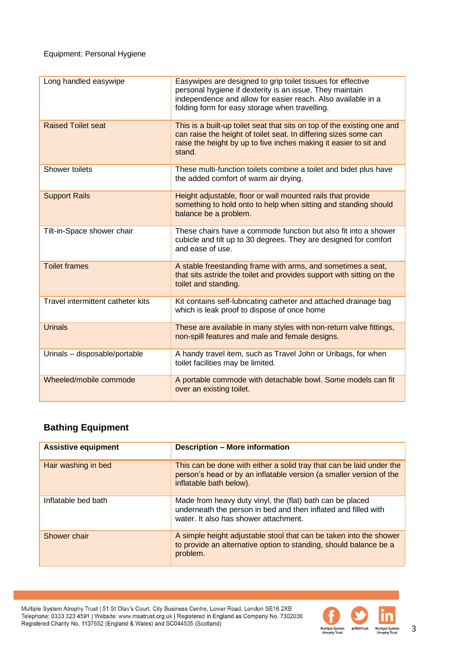| Long handled easywipe             | Easywipes are designed to grip toilet tissues for effective<br>personal hygiene if dexterity is an issue. They maintain<br>independence and allow for easier reach. Also available in a<br>folding form for easy storage when travelling. |  |
|-----------------------------------|-------------------------------------------------------------------------------------------------------------------------------------------------------------------------------------------------------------------------------------------|--|
| <b>Raised Toilet seat</b>         | This is a built-up toilet seat that sits on top of the existing one and<br>can raise the height of toilet seat. In differing sizes some can<br>raise the height by up to five inches making it easier to sit and<br>stand.                |  |
| Shower toilets                    | These multi-function toilets combine a toilet and bidet plus have<br>the added comfort of warm air drying.                                                                                                                                |  |
| <b>Support Rails</b>              | Height adjustable, floor or wall mounted rails that provide<br>something to hold onto to help when sitting and standing should<br>balance be a problem.                                                                                   |  |
| Tilt-in-Space shower chair        | These chairs have a commode function but also fit into a shower<br>cubicle and tilt up to 30 degrees. They are designed for comfort<br>and ease of use.                                                                                   |  |
| <b>Toilet frames</b>              | A stable freestanding frame with arms, and sometimes a seat,<br>that sits astride the toilet and provides support with sitting on the<br>toilet and standing.                                                                             |  |
| Travel intermittent catheter kits | Kit contains self-lubricating catheter and attached drainage bag<br>which is leak proof to dispose of once home                                                                                                                           |  |
| <b>Urinals</b>                    | These are available in many styles with non-return valve fittings,<br>non-spill features and male and female designs.                                                                                                                     |  |
| Urinals - disposable/portable     | A handy travel item, such as Travel John or Uribags, for when<br>toilet facilities may be limited.                                                                                                                                        |  |
| Wheeled/mobile commode            | A portable commode with detachable bowl. Some models can fit<br>over an existing toilet.                                                                                                                                                  |  |

# **Bathing Equipment**

| <b>Assistive equipment</b> | <b>Description - More information</b>                                                                                                                                  |  |  |
|----------------------------|------------------------------------------------------------------------------------------------------------------------------------------------------------------------|--|--|
| Hair washing in bed        | This can be done with either a solid tray that can be laid under the<br>person's head or by an inflatable version (a smaller version of the<br>inflatable bath below). |  |  |
| Inflatable bed bath        | Made from heavy duty vinyl, the (flat) bath can be placed<br>underneath the person in bed and then inflated and filled with<br>water. It also has shower attachment.   |  |  |
| Shower chair               | A simple height adjustable stool that can be taken into the shower<br>to provide an alternative option to standing, should balance be a<br>problem.                    |  |  |

Multiple System Atrophy Trust | 51 St Olav's Court, City Business Centre, Lower Road, London SE16 2XB<br>Telephone: 0333 323 4591 | Website: www.msatrust.org.uk | Registered in England as Company No. 7302036<br>Registered Charit



3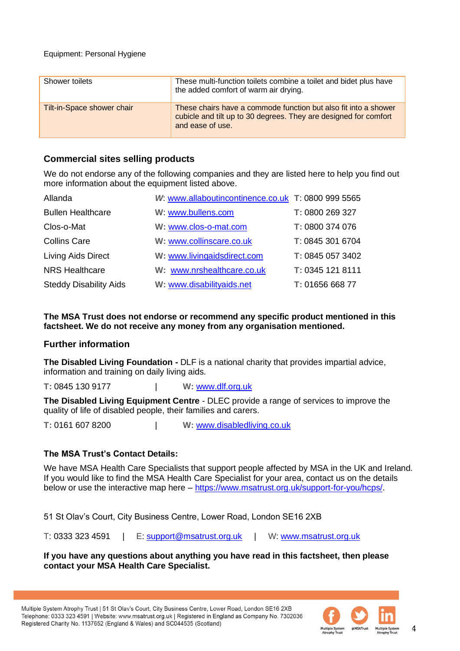### Equipment: Personal Hygiene

| Shower toilets             | These multi-function toilets combine a toilet and bidet plus have<br>the added comfort of warm air drying.                                              |
|----------------------------|---------------------------------------------------------------------------------------------------------------------------------------------------------|
| Tilt-in-Space shower chair | These chairs have a commode function but also fit into a shower<br>cubicle and tilt up to 30 degrees. They are designed for comfort<br>and ease of use. |

# **Commercial sites selling products**

We do not endorse any of the following companies and they are listed here to help you find out more information about the equipment listed above.

| Allanda                       | W www.allaboutincontinence.co.uk T: 0800 999 5565 |                  |
|-------------------------------|---------------------------------------------------|------------------|
| <b>Bullen Healthcare</b>      | W: www.bullens.com                                | T: 0800 269 327  |
| Clos-o-Mat                    | W: www.clos-o-mat.com                             | T: 0800 374 076  |
| <b>Collins Care</b>           | W: www.collinscare.co.uk                          | T: 0845 301 6704 |
| Living Aids Direct            | W: www.livingaidsdirect.com                       | T: 0845 057 3402 |
| <b>NRS Healthcare</b>         | W: www.nrshealthcare.co.uk                        | T: 0345 121 8111 |
| <b>Steddy Disability Aids</b> | W: www.disabilityaids.net                         | T: 01656 668 77  |

**The MSA Trust does not endorse or recommend any specific product mentioned in this factsheet. We do not receive any money from any organisation mentioned.**

# **Further information**

**The Disabled Living Foundation -** DLF is a national charity that provides impartial advice, information and training on daily living aids.

**T:** 0845 130 9177 | **W:** [www.dlf.org.uk](http://www.dlf.org.uk/)

**The Disabled Living Equipment Centre** - DLEC provide a range of services to improve the quality of life of disabled people, their families and carers.

**T:** 0161 607 8200 | **W:** [www.disabledliving.co.uk](http://www.disabledliving.co.uk/)

# **The MSA Trust's Contact Details:**

We have MSA Health Care Specialists that support people affected by MSA in the UK and Ireland. If you would like to find the MSA Health Care Specialist for your area, contact us on the details below or use the interactive map here – [https://www.msatrust.org.uk/support-for-you/hcps/.](https://www.msatrust.org.uk/support-for-you/hcps/)

51 St Olav's Court, City Business Centre, Lower Road, London SE16 2XB

T: 0333 323 4591 | E: [support@msatrust.org.uk](mailto:support@msatrust.org.uk) | W: [www.msatrust.org.uk](http://www.msatrust.org.uk/)

# **If you have any questions about anything you have read in this factsheet, then please contact your MSA Health Care Specialist.**